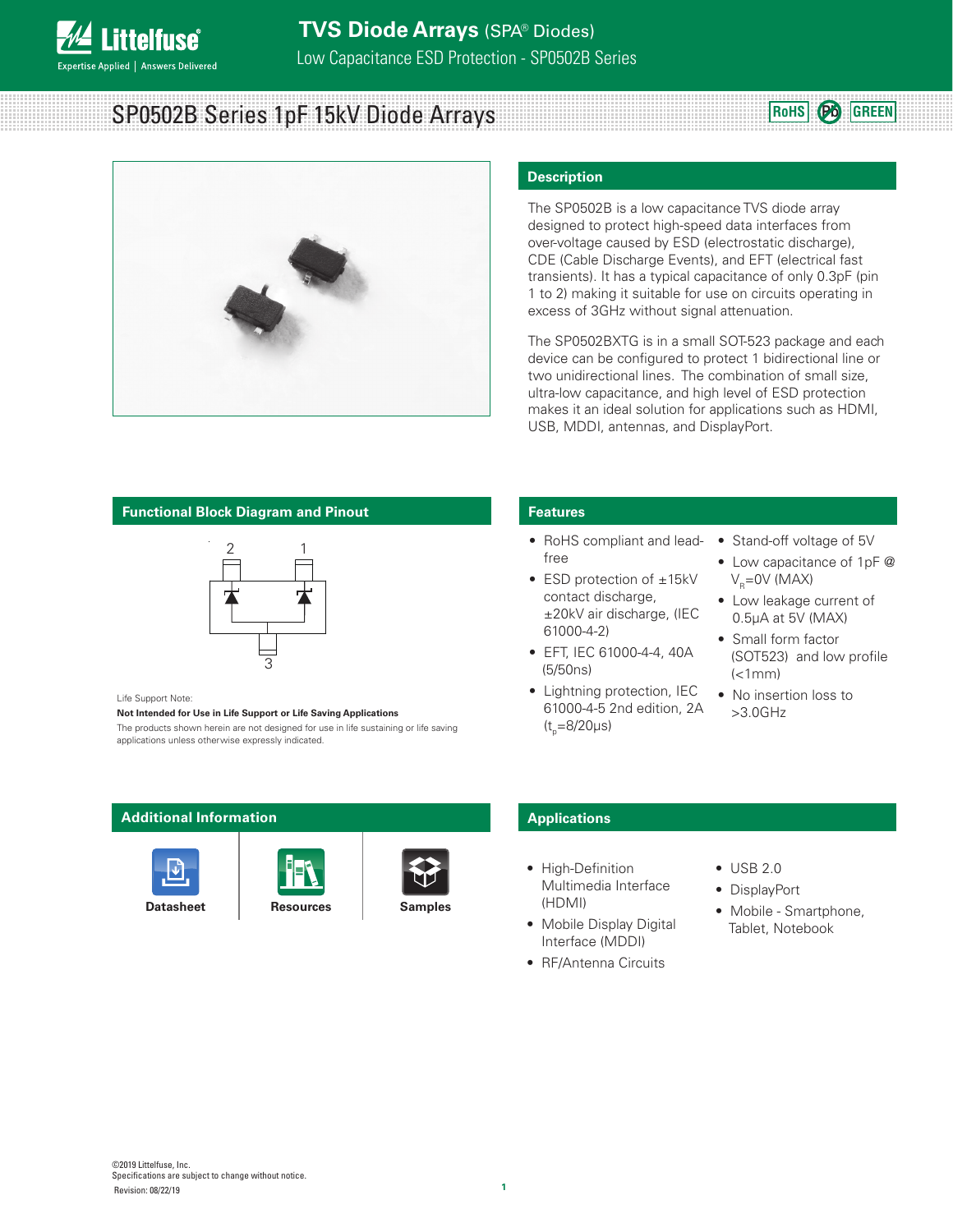

# SP0502B Series 1pF 15kV Diode Arrays



### **Description**

The SP0502B is a low capacitance TVS diode array designed to protect high-speed data interfaces from over-voltage caused by ESD (electrostatic discharge), CDE (Cable Discharge Events), and EFT (electrical fast transients). It has a typical capacitance of only 0.3pF (pin 1 to 2) making it suitable for use on circuits operating in excess of 3GHz without signal attenuation.

The SP0502BXTG is in a small SOT-523 package and each device can be configured to protect 1 bidirectional line or two unidirectional lines. The combination of small size, ultra-low capacitance, and high level of ESD protection makes it an ideal solution for applications such as HDMI, USB, MDDI, antennas, and DisplayPort.

### **Functional Block Diagram and Pinout <b>Features Features**



#### Life Support Note:

**Not Intended for Use in Life Support or Life Saving Applications**

The products shown herein are not designed for use in life sustaining or life saving applications unless otherwise expressly indicated.

### **Additional Information**







- RoHS compliant and leadfree
- ESD protection of ±15kV contact discharge, ±20kV air discharge, (IEC 61000-4-2)
- EFT, IEC 61000-4-4, 40A (5/50ns)
- Lightning protection, IEC 61000-4-5 2nd edition, 2A  $(t_p = 8/20 \mu s)$
- Stand-off voltage of 5V
- Low capacitance of 1pF @  $V_{\rm B}$ =0V (MAX)

**RoHS Pb GREEN**

- Low leakage current of 0.5μA at 5V (MAX)
- Small form factor (SOT523) and low profile  $(<1mm)$
- No insertion loss to >3.0GHz

### **Applications**

- High-Definition Multimedia Interface (HDMI)
- Mobile Display Digital Interface (MDDI)
- RF/Antenna Circuits
- USB 2.0
- DisplayPort
- Mobile Smartphone, Tablet, Notebook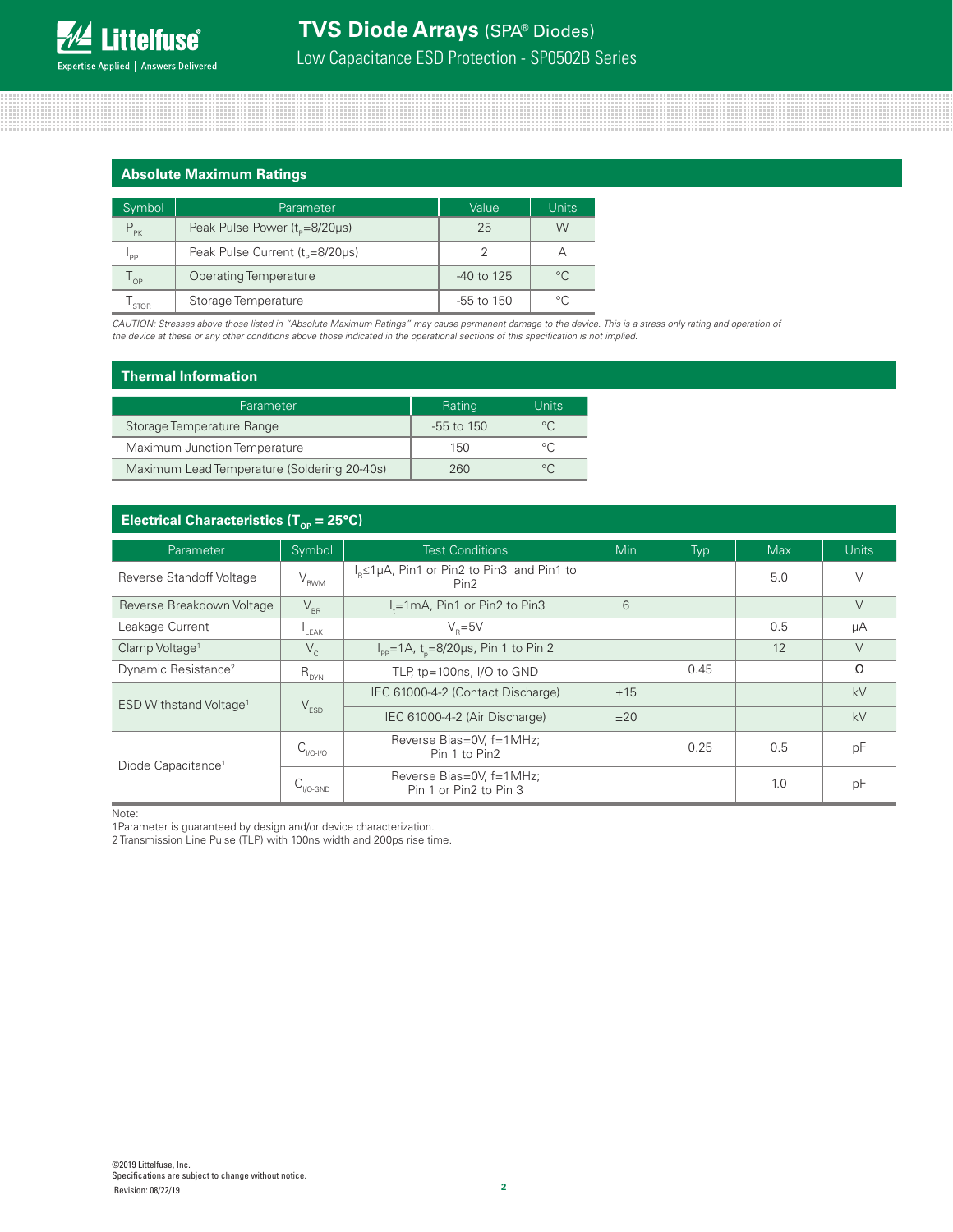### **Absolute Maximum Ratings**

| Symbol          | Parameter                                   | Value        | Units       |
|-----------------|---------------------------------------------|--------------|-------------|
| $P_{PR}$        | Peak Pulse Power (t <sub>n</sub> =8/20µs)   | 25           | W           |
| 'PP             | Peak Pulse Current (t <sub>p</sub> =8/20µs) |              | А           |
| l <sub>OP</sub> | <b>Operating Temperature</b>                | $-40$ to 125 | $^{\circ}C$ |
| <b>STOR</b>     | Storage Temperature                         | -55 to 150   | °C.         |

*CAUTION: Stresses above those listed in "Absolute Maximum Ratings" may cause permanent damage to the device. This is a stress only rating and operation of the device at these or any other conditions above those indicated in the operational sections of this specification is not implied.*

### **Thermal Information**

| Parameter                                   | Rating       | Units        |
|---------------------------------------------|--------------|--------------|
| Storage Temperature Range                   | $-55$ to 150 | $^{\circ}$ C |
| Maximum Junction Temperature                | 150          | $\circ$      |
| Maximum Lead Temperature (Soldering 20-40s) | 260          | $\circ$      |

### **Electrical Characteristics (T<sub>op</sub> = 25°C)**

| Symbol<br>Parameter                |                      | <b>Test Conditions</b>                                                    | <b>Min</b> | Typ  | <b>Max</b> | <b>Units</b> |
|------------------------------------|----------------------|---------------------------------------------------------------------------|------------|------|------------|--------------|
| Reverse Standoff Voltage           | $V_{_{\rm RWM}}$     | I <sub>∍</sub> ≤1µA, Pin1 or Pin2 to Pin3 and Pin1 to<br>Pin <sub>2</sub> |            |      | 5.0        |              |
| Reverse Breakdown Voltage          | $\rm V_{\rm BR}$     | I = 1mA, Pin1 or Pin2 to Pin3                                             | 6          |      |            | V            |
| Leakage Current                    | $L_{\text{EAK}}$     | $V_{\rm e} = 5V$                                                          |            |      | 0.5        | μA           |
| Clamp Voltage <sup>1</sup>         | $V_{\rm c}$          | $I_{\text{pp}} = 1$ A, t <sub>n</sub> =8/20µs, Pin 1 to Pin 2             |            |      | 12         | $\vee$       |
| Dynamic Resistance <sup>2</sup>    | $R_{DYN}$            | TLP, tp=100ns, I/O to GND                                                 |            | 0.45 |            | Ω            |
| ESD Withstand Voltage <sup>1</sup> | $V_{ESD}$            | IEC 61000-4-2 (Contact Discharge)                                         | ±15        |      |            | kV           |
|                                    |                      | IEC 61000-4-2 (Air Discharge)                                             | ±20        |      |            | kV           |
| Diode Capacitance <sup>1</sup>     | $C_{1/0-1/0}$        | Reverse Bias=0V, f=1MHz;<br>Pin 1 to Pin2                                 |            | 0.25 | 0.5        | pF           |
|                                    | $U_{\text{IVO-GND}}$ | Reverse Bias=0V, f=1MHz;<br>Pin 1 or Pin2 to Pin 3                        |            |      | 1.0        | ŋΕ           |

Note:

1Parameter is guaranteed by design and/or device characterization.

2 Transmission Line Pulse (TLP) with 100ns width and 200ps rise time.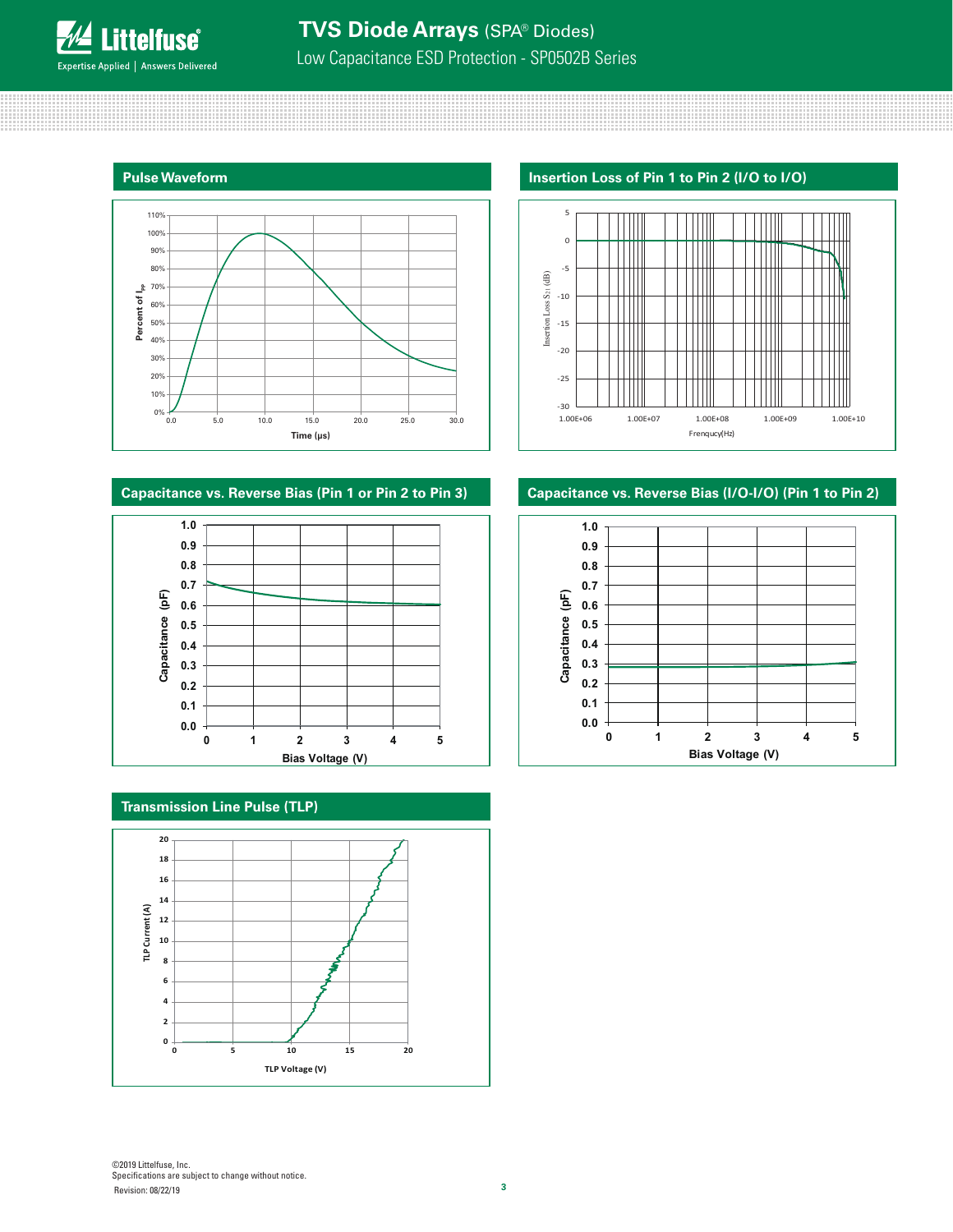### **Pulse Waveform**



## **Insertion Loss of Pin 1 to Pin 2 (I/O to I/O)**



### **Capacitance vs. Reverse Bias (Pin 1 or Pin 2 to Pin 3)**



### **Transmission Line Pulse (TLP)**



### **Capacitance vs. Reverse Bias (I/O-I/O) (Pin 1 to Pin 2)**



©2019 Littelfuse, Inc. Specifications are subject to change without notice. Revision: 08/22/19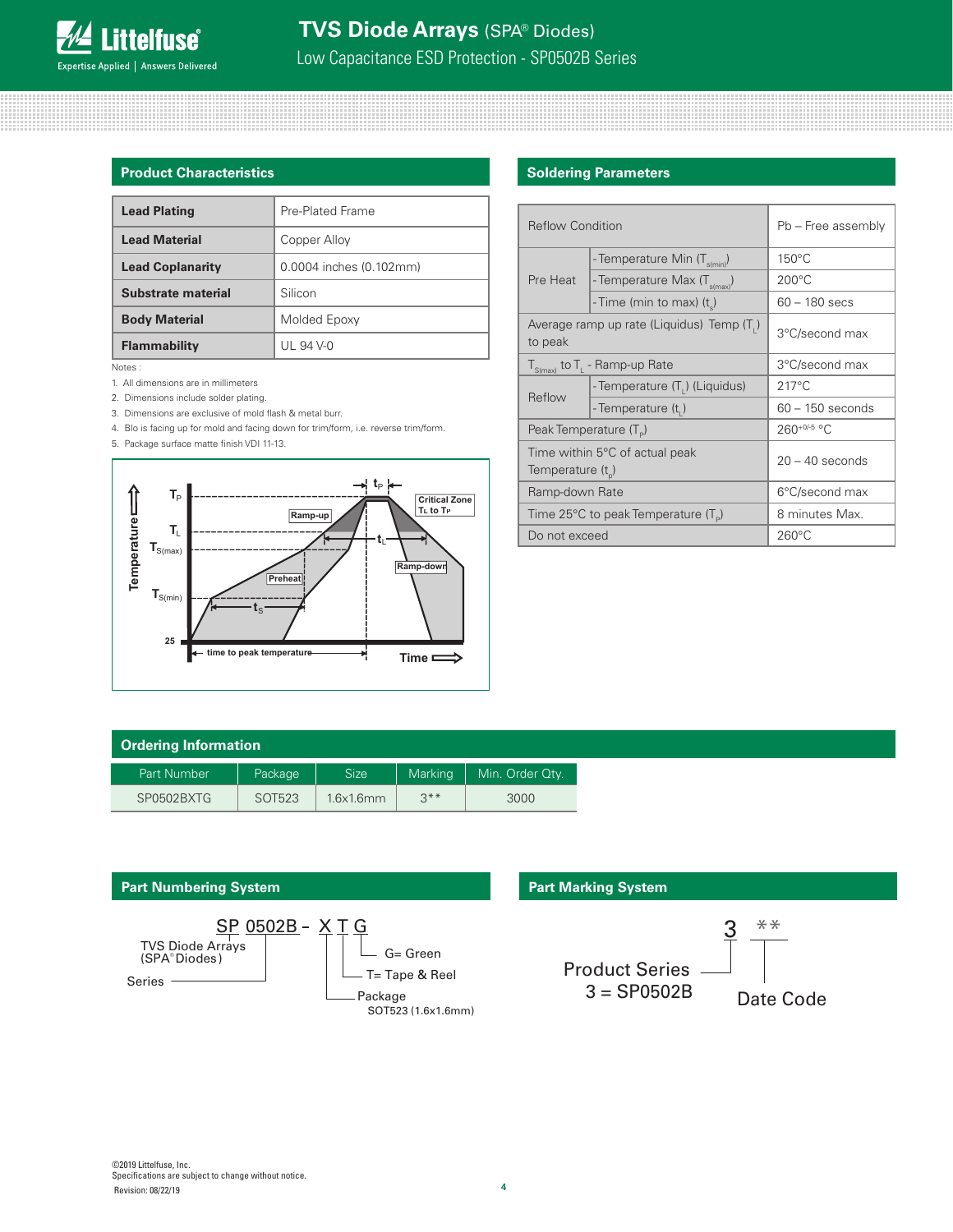### **Product Characteristics**

| <b>Lead Plating</b>     | Pre-Plated Frame        |
|-------------------------|-------------------------|
| <b>Lead Material</b>    | Copper Alloy            |
| <b>Lead Coplanarity</b> | 0.0004 inches (0.102mm) |
| Substrate material      | Silicon                 |
| <b>Body Material</b>    | Molded Epoxy            |
| <b>Flammability</b>     | UL 94 V-0               |

Notes :

- 1. All dimensions are in millimeters
- 2. Dimensions include solder plating.
- 3. Dimensions are exclusive of mold flash & metal burr.
- 4. Blo is facing up for mold and facing down for trim/form, i.e. reverse trim/form.

5. Package surface matte finish VDI 11-13.



### **Soldering Parameters**

| <b>Reflow Condition</b>            |                                                 | Pb - Free assembly |  |
|------------------------------------|-------------------------------------------------|--------------------|--|
|                                    | - Temperature Min (T <sub>s(min)</sub> )        | $150^{\circ}$ C    |  |
| Pre Heat                           | - Temperature Max (T <sub>s(max)</sub> )        | $200^{\circ}$ C    |  |
|                                    | -Time (min to max) (t)                          | 60 – 180 secs      |  |
| to peak                            | Average ramp up rate (Liquidus) Temp $(T_1)$    | 3°C/second max     |  |
|                                    | $T_{S(max)}$ to $T_{L}$ - Ramp-up Rate          | 3°C/second max     |  |
| Reflow                             | - Temperature (T,) (Liquidus)                   | $217^{\circ}$ C    |  |
|                                    | - Temperature (t,)                              | $60 - 150$ seconds |  |
| Peak Temperature (T <sub>D</sub> ) |                                                 | $260^{+0/5}$ °C    |  |
| Temperature $(t_{n})$              | Time within 5°C of actual peak                  | $20 - 40$ seconds  |  |
| Ramp-down Rate                     |                                                 | 6°C/second max     |  |
|                                    | Time 25°C to peak Temperature (T <sub>e</sub> ) | 8 minutes Max.     |  |
| Do not exceed                      |                                                 | $260^{\circ}$ C    |  |

| Ordering Information |         |             |         |                 |  |  |
|----------------------|---------|-------------|---------|-----------------|--|--|
| Part Number          | Package | <b>Size</b> | Marking | Min. Order Qtv. |  |  |
| SP0502BXTG           | SOT523  | 1.6x1.6mm   | $2**$   | 3000            |  |  |

#### **Part Marking System**  $3^{***}$ Product Series  $3 =$ SP0502B Date Code **Part Numbering System** <u>SP 0502B</u> - <u>X</u> T <u>G</u> Series -Package SOT523 (1.6x1.6mm) T= Tape & Reel G= Green TVS Diode Arrays (SPA® Diodes)